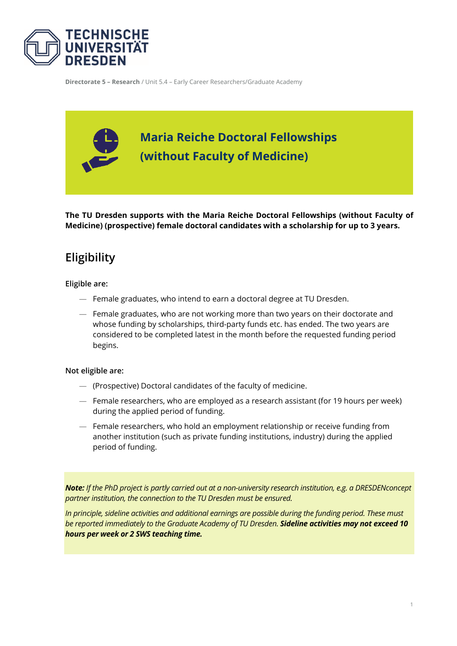

**Directorate 5 – Research** / Unit 5.4 – Early Career Researchers/Graduate Academy



**The TU Dresden supports with the Maria Reiche Doctoral Fellowships (without Faculty of Medicine) (prospective) female doctoral candidates with a scholarship for up to 3 years.**

# **Eligibility**

#### **Eligible are:**

- Female graduates, who intend to earn a doctoral degree at TU Dresden.
- Female graduates, who are not working more than two years on their doctorate and whose funding by scholarships, third-party funds etc. has ended. The two years are considered to be completed latest in the month before the requested funding period begins.

#### **Not eligible are:**

- (Prospective) Doctoral candidates of the faculty of medicine.
- Female researchers, who are employed as a research assistant (for 19 hours per week) during the applied period of funding.
- Female researchers, who hold an employment relationship or receive funding from another institution (such as private funding institutions, industry) during the applied period of funding.

*Note: If the PhD project is partly carried out at a non-university research institution, e.g. a DRESDENconcept partner institution, the connection to the TU Dresden must be ensured.*

*In principle, sideline activities and additional earnings are possible during the funding period. These must be reported immediately to the Graduate Academy of TU Dresden. Sideline activities may not exceed 10 hours per week or 2 SWS teaching time.*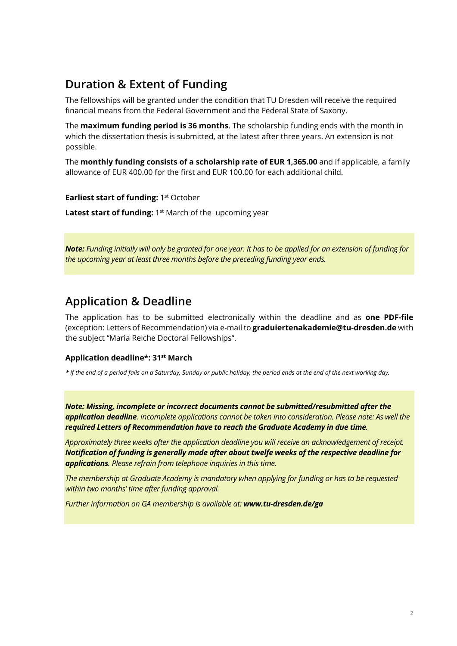# **Duration & Extent of Funding**

The fellowships will be granted under the condition that TU Dresden will receive the required financial means from the Federal Government and the Federal State of Saxony.

The **maximum funding period is 36 months**. The scholarship funding ends with the month in which the dissertation thesis is submitted, at the latest after three years. An extension is not possible.

The **monthly funding consists of a scholarship rate of EUR 1,365.00** and if applicable, a family allowance of EUR 400.00 for the first and EUR 100.00 for each additional child.

**Earliest start of funding: 1st October** 

**Latest start of funding:** 1<sup>st</sup> March of the upcoming year

*Note: Funding initially will only be granted for one year. It has to be applied for an extension of funding for the upcoming year at least three months before the preceding funding year ends.*

## **Application & Deadline**

The application has to be submitted electronically within the deadline and as **one PDF-file** (exception: Letters of Recommendation) via e-mail to **graduiertenakademie@tu-dresden.de** with the subject "Maria Reiche Doctoral Fellowships".

### **Application deadline\*: 31st March**

*\* If the end of a period falls on a Saturday, Sunday or public holiday, the period ends at the end of the next working day.*

*Note: Missing, incomplete or incorrect documents cannot be submitted/resubmitted after the application deadline. Incomplete applications cannot be taken into consideration. Please note: As well the required Letters of Recommendation have to reach the Graduate Academy in due time.* 

*Approximately three weeks after the application deadline you will receive an acknowledgement of receipt. Notification of funding is generally made after about twelfe weeks of the respective deadline for applications. Please refrain from telephone inquiries in this time.* 

*The membership at Graduate Academy is mandatory when applying for funding or has to be requested within two months' time after funding approval.*

*Further information on GA membership is available at: [www.tu-dresden.de/ga](http://www.tu-dresden.de/ga)*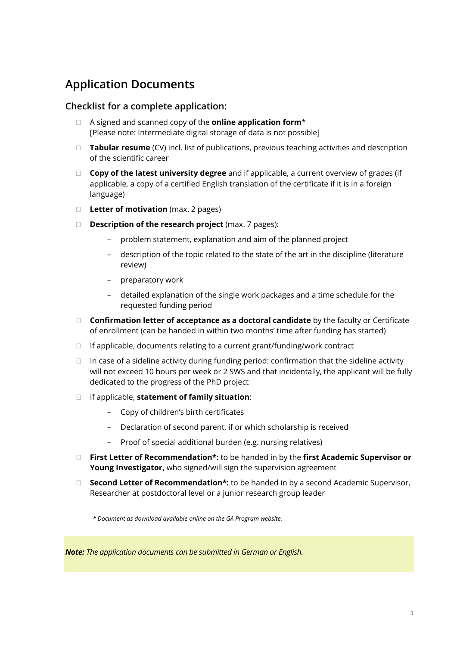# **Application Documents**

### **Checklist for a complete application:**

- A signed and scanned copy of the **online application form**\* [Please note: Intermediate digital storage of data is not possible]
- **Tabular resume** (CV) incl. list of publications, previous teaching activities and description of the scientific career
- **Copy of the latest university degree** and if applicable, a current overview of grades (if applicable, a copy of a certified English translation of the certificate if it is in a foreign language)
- **Letter of motivation** (max. 2 pages)
- **Description of the research project** (max. 7 pages):
	- problem statement, explanation and aim of the planned project
	- description of the topic related to the state of the art in the discipline (literature review)
	- preparatory work
	- detailed explanation of the single work packages and a time schedule for the requested funding period
- **Confirmation letter of acceptance as a doctoral candidate** by the faculty or Certificate of enrollment (can be handed in within two months' time after funding has started)
- $\Box$  If applicable, documents relating to a current grant/funding/work contract
- $\Box$  In case of a sideline activity during funding period: confirmation that the sideline activity will not exceed 10 hours per week or 2 SWS and that incidentally, the applicant will be fully dedicated to the progress of the PhD project
- If applicable, **statement of family situation**:
	- Copy of children's birth certificates
	- Declaration of second parent, if or which scholarship is received
	- Proof of special additional burden (e.g. nursing relatives)
- **First Letter of Recommendation\*:** to be handed in by the **first Academic Supervisor or Young Investigator,** who signed/will sign the supervision agreement
- **Second Letter of Recommendation\*:** to be handed in by a second Academic Supervisor, Researcher at postdoctoral level or a junior research group leader

*\* Document as download available online on the GA Program website.*

*Note: The application documents can be submitted in German or English.*